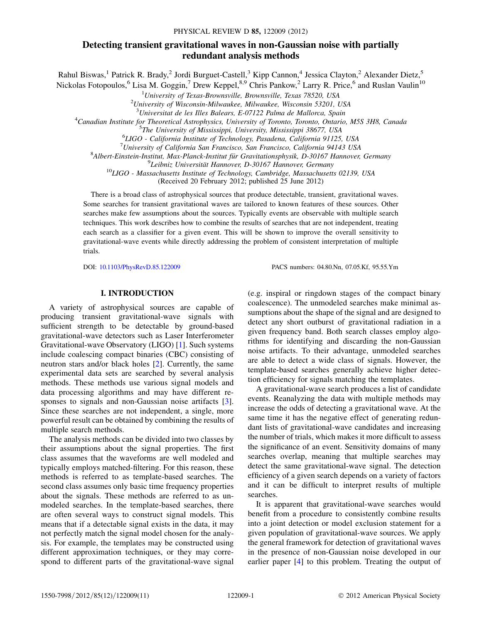# Detecting transient gravitational waves in non-Gaussian noise with partially redundant analysis methods

Rahul Biswas,<sup>1</sup> Patrick R. Brady,<sup>2</sup> Jordi Burguet-Castell,<sup>3</sup> Kipp Cannon,<sup>4</sup> Jessica Clayton,<sup>2</sup> Alexander Dietz,<sup>5</sup>

Nickolas Fotopoulos, <sup>6</sup> Lisa M. Goggin, <sup>7</sup> Drew Keppel, <sup>8,9</sup> Chris Pankow, <sup>2</sup> Larry R. Price, <sup>6</sup> and Ruslan Vaulin<sup>10</sup>

<sup>1</sup>University of Texas-Brownsville, Brownsville, Texas 78520, USA

 $^1$ University of Texas-Brownsville, Brownsville, Texas 78520, USA<br><sup>2</sup>University of Wisconsin-Milwaukee, Milwaukee, Wisconsin 53201, USA

<sup>3</sup>Universitat de les Illes Balears, E-07122 Palma de Mallorca, Spain<br><sup>4</sup>Canadian Institute for Theoratical Astrophysics, University of Teronto, Teronto, Ontario

<sup>4</sup>Canadian Institute for Theoretical Astrophysics, University of Toronto, Toronto, Ontario, M5S 3H8, Canada

 $^5$ The University of Mississippi, University, Mississippi 38677, USA

LIGO - California Institute of Technology, Pasadena, California 91125, USA

<sup>7</sup> University of California San Francisco, San Francisco, California 94143 USA<br><sup>8</sup> Albert Einstein Institut, Max Planck Institut für Gravitationsphysik, D. 30167 Hannover

<sup>8</sup> Albert-Einstein-Institut, Max-Planck-Institut für Gravitationsphysik, D-30167 Hannover, Germany<br><sup>9</sup> Leibniz Universität Hannover, D-30167 Hannover, Germany

 $10LIGO$  - Massachusetts Institute of Technology, Cambridge, Massachusetts 02139, USA

(Received 20 February 2012; published 25 June 2012)

There is a broad class of astrophysical sources that produce detectable, transient, gravitational waves. Some searches for transient gravitational waves are tailored to known features of these sources. Other searches make few assumptions about the sources. Typically events are observable with multiple search techniques. This work describes how to combine the results of searches that are not independent, treating each search as a classifier for a given event. This will be shown to improve the overall sensitivity to gravitational-wave events while directly addressing the problem of consistent interpretation of multiple trials.

DOI: [10.1103/PhysRevD.85.122009](http://dx.doi.org/10.1103/PhysRevD.85.122009) PACS numbers: 04.80.Nn, 07.05.Kf, 95.55.Ym

### I. INTRODUCTION

A variety of astrophysical sources are capable of producing transient gravitational-wave signals with sufficient strength to be detectable by ground-based gravitational-wave detectors such as Laser Interferometer Gravitational-wave Observatory (LIGO) [[1](#page-10-0)]. Such systems include coalescing compact binaries (CBC) consisting of neutron stars and/or black holes [[2\]](#page-10-1). Currently, the same experimental data sets are searched by several analysis methods. These methods use various signal models and data processing algorithms and may have different re-sponses to signals and non-Gaussian noise artifacts [[3\]](#page-10-2). Since these searches are not independent, a single, more powerful result can be obtained by combining the results of multiple search methods.

The analysis methods can be divided into two classes by their assumptions about the signal properties. The first class assumes that the waveforms are well modeled and typically employs matched-filtering. For this reason, these methods is referred to as template-based searches. The second class assumes only basic time frequency properties about the signals. These methods are referred to as unmodeled searches. In the template-based searches, there are often several ways to construct signal models. This means that if a detectable signal exists in the data, it may not perfectly match the signal model chosen for the analysis. For example, the templates may be constructed using different approximation techniques, or they may correspond to different parts of the gravitational-wave signal

(e.g. inspiral or ringdown stages of the compact binary coalescence). The unmodeled searches make minimal assumptions about the shape of the signal and are designed to detect any short outburst of gravitational radiation in a given frequency band. Both search classes employ algorithms for identifying and discarding the non-Gaussian noise artifacts. To their advantage, unmodeled searches are able to detect a wide class of signals. However, the template-based searches generally achieve higher detection efficiency for signals matching the templates.

A gravitational-wave search produces a list of candidate events. Reanalyzing the data with multiple methods may increase the odds of detecting a gravitational wave. At the same time it has the negative effect of generating redundant lists of gravitational-wave candidates and increasing the number of trials, which makes it more difficult to assess the significance of an event. Sensitivity domains of many searches overlap, meaning that multiple searches may detect the same gravitational-wave signal. The detection efficiency of a given search depends on a variety of factors and it can be difficult to interpret results of multiple searches.

It is apparent that gravitational-wave searches would benefit from a procedure to consistently combine results into a joint detection or model exclusion statement for a given population of gravitational-wave sources. We apply the general framework for detection of gravitational waves in the presence of non-Gaussian noise developed in our earlier paper [\[4](#page-10-3)] to this problem. Treating the output of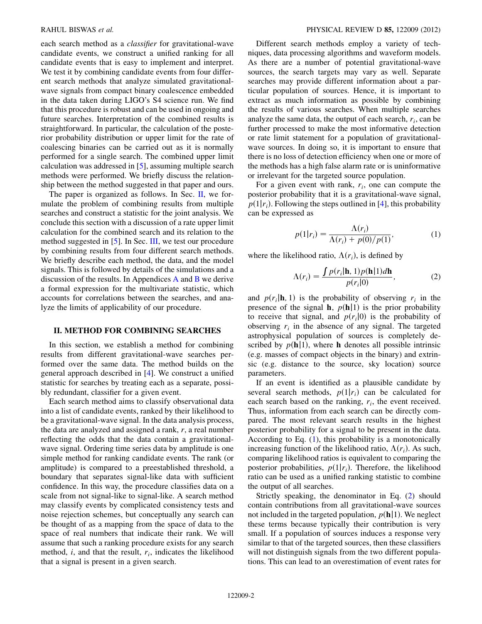each search method as a classifier for gravitational-wave candidate events, we construct a unified ranking for all candidate events that is easy to implement and interpret. We test it by combining candidate events from four different search methods that analyze simulated gravitationalwave signals from compact binary coalescence embedded in the data taken during LIGO's S4 science run. We find that this procedure is robust and can be used in ongoing and future searches. Interpretation of the combined results is straightforward. In particular, the calculation of the posterior probability distribution or upper limit for the rate of coalescing binaries can be carried out as it is normally performed for a single search. The combined upper limit calculation was addressed in [\[5](#page-10-4)], assuming multiple search methods were performed. We briefly discuss the relationship between the method suggested in that paper and ours.

The paper is organized as follows. In Sec. [II,](#page-1-0) we formulate the problem of combining results from multiple searches and construct a statistic for the joint analysis. We conclude this section with a discussion of a rate upper limit calculation for the combined search and its relation to the method suggested in [[5\]](#page-10-4). In Sec. [III,](#page-2-0) we test our procedure by combining results from four different search methods. We briefly describe each method, the data, and the model signals. This is followed by details of the simulations and a discussion of the results. In Appendices [A](#page-8-0) and [B](#page-8-1) we derive a formal expression for the multivariate statistic, which accounts for correlations between the searches, and analyze the limits of applicability of our procedure.

#### <span id="page-1-0"></span>II. METHOD FOR COMBINING SEARCHES

In this section, we establish a method for combining results from different gravitational-wave searches performed over the same data. The method builds on the general approach described in [\[4\]](#page-10-3). We construct a unified statistic for searches by treating each as a separate, possibly redundant, classifier for a given event.

Each search method aims to classify observational data into a list of candidate events, ranked by their likelihood to be a gravitational-wave signal. In the data analysis process, the data are analyzed and assigned a rank, r, a real number reflecting the odds that the data contain a gravitationalwave signal. Ordering time series data by amplitude is one simple method for ranking candidate events. The rank (or amplitude) is compared to a preestablished threshold, a boundary that separates signal-like data with sufficient confidence. In this way, the procedure classifies data on a scale from not signal-like to signal-like. A search method may classify events by complicated consistency tests and noise rejection schemes, but conceptually any search can be thought of as a mapping from the space of data to the space of real numbers that indicate their rank. We will assume that such a ranking procedure exists for any search method,  $i$ , and that the result,  $r_i$ , indicates the likelihood that a signal is present in a given search.

Different search methods employ a variety of techniques, data processing algorithms and waveform models. As there are a number of potential gravitational-wave sources, the search targets may vary as well. Separate searches may provide different information about a particular population of sources. Hence, it is important to extract as much information as possible by combining the results of various searches. When multiple searches analyze the same data, the output of each search,  $r_i$ , can be further processed to make the most informative detection or rate limit statement for a population of gravitationalwave sources. In doing so, it is important to ensure that there is no loss of detection efficiency when one or more of the methods has a high false alarm rate or is uninformative or irrelevant for the targeted source population.

<span id="page-1-1"></span>For a given event with rank,  $r_i$ , one can compute the posterior probability that it is a gravitational-wave signal,  $p(1|r_i)$ . Following the steps outlined in [[4](#page-10-3)], this probability can be expressed as

$$
p(1|r_i) = \frac{\Lambda(r_i)}{\Lambda(r_i) + p(0)/p(1)},
$$
\n(1)

<span id="page-1-2"></span>where the likelihood ratio,  $\Lambda(r_i)$ , is defined by

$$
\Lambda(r_i) = \frac{\int p(r_i|\mathbf{h}, 1)p(\mathbf{h}|1)d\mathbf{h}}{p(r_i|0)},
$$
\n(2)

and  $p(r_i | \mathbf{h}, 1)$  is the probability of observing  $r_i$  in the presence of the signal **h**,  $p(\mathbf{h}|1)$  is the prior probability to receive that signal, and  $p(r_i|0)$  is the probability of observing  $r_i$  in the absence of any signal. The targeted astrophysical population of sources is completely described by  $p(h|1)$ , where h denotes all possible intrinsic (e.g. masses of compact objects in the binary) and extrinsic (e.g. distance to the source, sky location) source parameters.

If an event is identified as a plausible candidate by several search methods,  $p(1|r_i)$  can be calculated for each search based on the ranking,  $r_i$ , the event received. Thus, information from each search can be directly compared. The most relevant search results in the highest posterior probability for a signal to be present in the data. According to Eq. [\(1\)](#page-1-1), this probability is a monotonically increasing function of the likelihood ratio,  $\Lambda(r_i)$ . As such, comparing likelihood ratios is equivalent to comparing the posterior probabilities,  $p(1|r_i)$ . Therefore, the likelihood ratio can be used as a unified ranking statistic to combine the output of all searches.

Strictly speaking, the denominator in Eq. [\(2\)](#page-1-2) should contain contributions from all gravitational-wave sources not included in the targeted population,  $p(\mathbf{h}|1)$ . We neglect these terms because typically their contribution is very small. If a population of sources induces a response very similar to that of the targeted sources, then these classifiers will not distinguish signals from the two different populations. This can lead to an overestimation of event rates for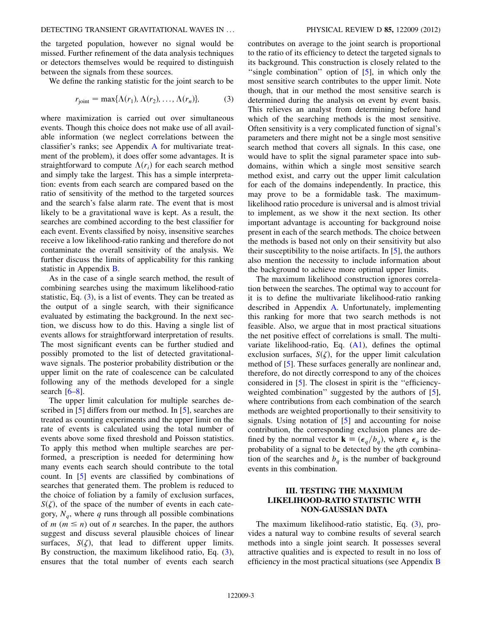the targeted population, however no signal would be missed. Further refinement of the data analysis techniques or detectors themselves would be required to distinguish between the signals from these sources.

<span id="page-2-1"></span>We define the ranking statistic for the joint search to be

$$
r_{\text{joint}} = \max\{\Lambda(r_1), \Lambda(r_2), \dots, \Lambda(r_n)\},\tag{3}
$$

where maximization is carried out over simultaneous events. Though this choice does not make use of all available information (we neglect correlations between the classifier's ranks; see Appendix [A](#page-8-0) for multivariate treatment of the problem), it does offer some advantages. It is straightforward to compute  $\Lambda(r_i)$  for each search method and simply take the largest. This has a simple interpretation: events from each search are compared based on the ratio of sensitivity of the method to the targeted sources and the search's false alarm rate. The event that is most likely to be a gravitational wave is kept. As a result, the searches are combined according to the best classifier for each event. Events classified by noisy, insensitive searches receive a low likelihood-ratio ranking and therefore do not contaminate the overall sensitivity of the analysis. We further discuss the limits of applicability for this ranking statistic in Appendix [B.](#page-8-1)

As in the case of a single search method, the result of combining searches using the maximum likelihood-ratio statistic, Eq.  $(3)$ , is a list of events. They can be treated as the output of a single search, with their significance evaluated by estimating the background. In the next section, we discuss how to do this. Having a single list of events allows for straightforward interpretation of results. The most significant events can be further studied and possibly promoted to the list of detected gravitationalwave signals. The posterior probability distribution or the upper limit on the rate of coalescence can be calculated following any of the methods developed for a single search  $[6-8]$  $[6-8]$  $[6-8]$ .

The upper limit calculation for multiple searches described in [\[5\]](#page-10-4) differs from our method. In [[5](#page-10-4)], searches are treated as counting experiments and the upper limit on the rate of events is calculated using the total number of events above some fixed threshold and Poisson statistics. To apply this method when multiple searches are performed, a prescription is needed for determining how many events each search should contribute to the total count. In [\[5](#page-10-4)] events are classified by combinations of searches that generated them. The problem is reduced to the choice of foliation by a family of exclusion surfaces,  $S(\zeta)$ , of the space of the number of events in each category,  $N_q$ , where q runs through all possible combinations of  $m$  ( $m \le n$ ) out of n searches. In the paper, the authors suggest and discuss several plausible choices of linear surfaces,  $S(\zeta)$ , that lead to different upper limits. By construction, the maximum likelihood ratio, Eq. ([3\)](#page-2-1), ensures that the total number of events each search contributes on average to the joint search is proportional to the ratio of its efficiency to detect the targeted signals to its background. This construction is closely related to the ''single combination'' option of [[5\]](#page-10-4), in which only the most sensitive search contributes to the upper limit. Note though, that in our method the most sensitive search is determined during the analysis on event by event basis. This relieves an analyst from determining before hand which of the searching methods is the most sensitive. Often sensitivity is a very complicated function of signal's parameters and there might not be a single most sensitive search method that covers all signals. In this case, one would have to split the signal parameter space into subdomains, within which a single most sensitive search method exist, and carry out the upper limit calculation for each of the domains independently. In practice, this may prove to be a formidable task. The maximumlikelihood ratio procedure is universal and is almost trivial to implement, as we show it the next section. Its other important advantage is accounting for background noise present in each of the search methods. The choice between the methods is based not only on their sensitivity but also their susceptibility to the noise artifacts. In [[5](#page-10-4)], the authors also mention the necessity to include information about the background to achieve more optimal upper limits.

The maximum likelihood construction ignores correlation between the searches. The optimal way to account for it is to define the multivariate likelihood-ratio ranking described in Appendix [A.](#page-8-0) Unfortunately, implementing this ranking for more that two search methods is not feasible. Also, we argue that in most practical situations the net positive effect of correlations is small. The multivariate likelihood-ratio, Eq. ([A1\)](#page-8-2), defines the optimal exclusion surfaces,  $S(\zeta)$ , for the upper limit calculation method of [[5](#page-10-4)]. These surfaces generally are nonlinear and, therefore, do not directly correspond to any of the choices considered in [[5](#page-10-4)]. The closest in spirit is the ''efficiencyweighted combination'' suggested by the authors of [[5\]](#page-10-4), where contributions from each combination of the search methods are weighted proportionally to their sensitivity to signals. Using notation of [\[5](#page-10-4)] and accounting for noise contribution, the corresponding exclusion planes are defined by the normal vector  $\mathbf{k} \equiv (\epsilon_q/b_q)$ , where  $\epsilon_q$  is the probability of a signal to be detected by the *a*th combinaprobability of a signal to be detected by the  $q$ th combination of the searches and  $b<sub>q</sub>$  is the number of background events in this combination.

## III. TESTING THE MAXIMUM LIKELIHOOD-RATIO STATISTIC WITH NON-GAUSSIAN DATA

<span id="page-2-0"></span>The maximum likelihood-ratio statistic, Eq. [\(3\)](#page-2-1), provides a natural way to combine results of several search methods into a single joint search. It possesses several attractive qualities and is expected to result in no loss of efficiency in the most practical situations (see Appendix  $\bf{B}$  $\bf{B}$  $\bf{B}$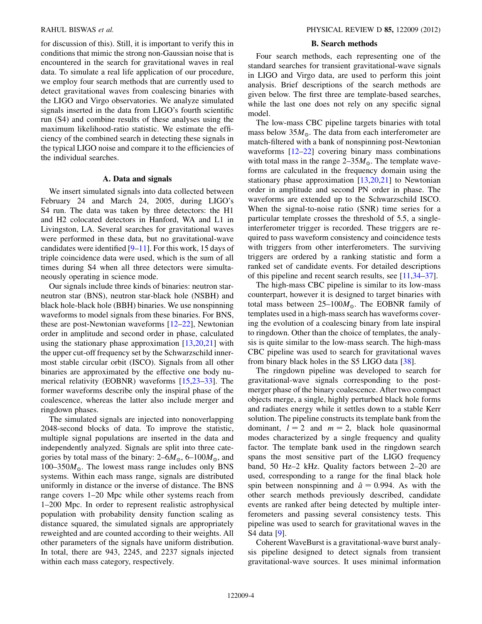for discussion of this). Still, it is important to verify this in conditions that mimic the strong non-Gaussian noise that is encountered in the search for gravitational waves in real data. To simulate a real life application of our procedure, we employ four search methods that are currently used to detect gravitational waves from coalescing binaries with the LIGO and Virgo observatories. We analyze simulated signals inserted in the data from LIGO's fourth scientific run (S4) and combine results of these analyses using the maximum likelihood-ratio statistic. We estimate the efficiency of the combined search in detecting these signals in the typical LIGO noise and compare it to the efficiencies of the individual searches.

#### A. Data and signals

We insert simulated signals into data collected between February 24 and March 24, 2005, during LIGO's S4 run. The data was taken by three detectors: the H1 and H2 colocated detectors in Hanford, WA and L1 in Livingston, LA. Several searches for gravitational waves were performed in these data, but no gravitational-wave candidates were identified [[9](#page-10-7)[–11\]](#page-10-8). For this work, 15 days of triple coincidence data were used, which is the sum of all times during S4 when all three detectors were simultaneously operating in science mode.

Our signals include three kinds of binaries: neutron starneutron star (BNS), neutron star-black hole (NSBH) and black hole-black hole (BBH) binaries. We use nonspinning waveforms to model signals from these binaries. For BNS, these are post-Newtonian waveforms [[12](#page-10-9)[–22\]](#page-10-10), Newtonian order in amplitude and second order in phase, calculated using the stationary phase approximation  $[13,20,21]$  $[13,20,21]$  $[13,20,21]$  $[13,20,21]$  $[13,20,21]$  $[13,20,21]$  $[13,20,21]$  with the upper cut-off frequency set by the Schwarzschild innermost stable circular orbit (ISCO). Signals from all other binaries are approximated by the effective one body numerical relativity (EOBNR) waveforms [[15](#page-10-14)[,23–](#page-10-15)[33](#page-10-16)]. The former waveforms describe only the inspiral phase of the coalescence, whereas the latter also include merger and ringdown phases.

The simulated signals are injected into nonoverlapping 2048-second blocks of data. To improve the statistic, multiple signal populations are inserted in the data and independently analyzed. Signals are split into three categories by total mass of the binary:  $2-6M_{\odot}$ ,  $6-100M_{\odot}$ , and 100–350 $M_{\odot}$ . The lowest mass range includes only BNS systems. Within each mass range, signals are distributed uniformly in distance or the inverse of distance. The BNS range covers 1–20 Mpc while other systems reach from 1–200 Mpc. In order to represent realistic astrophysical population with probability density function scaling as distance squared, the simulated signals are appropriately reweighted and are counted according to their weights. All other parameters of the signals have uniform distribution. In total, there are 943, 2245, and 2237 signals injected within each mass category, respectively.

#### B. Search methods

Four search methods, each representing one of the standard searches for transient gravitational-wave signals in LIGO and Virgo data, are used to perform this joint analysis. Brief descriptions of the search methods are given below. The first three are template-based searches, while the last one does not rely on any specific signal model.

The low-mass CBC pipeline targets binaries with total mass below  $35M_{\odot}$ . The data from each interferometer are match-filtered with a bank of nonspinning post-Newtonian waveforms [[12](#page-10-9)[–22\]](#page-10-10) covering binary mass combinations with total mass in the range  $2-35M_{\odot}$ . The template waveforms are calculated in the frequency domain using the stationary phase approximation  $[13,20,21]$  $[13,20,21]$  $[13,20,21]$  $[13,20,21]$  $[13,20,21]$  $[13,20,21]$  $[13,20,21]$  to Newtonian order in amplitude and second PN order in phase. The waveforms are extended up to the Schwarzschild ISCO. When the signal-to-noise ratio (SNR) time series for a particular template crosses the threshold of 5.5, a singleinterferometer trigger is recorded. These triggers are required to pass waveform consistency and coincidence tests with triggers from other interferometers. The surviving triggers are ordered by a ranking statistic and form a ranked set of candidate events. For detailed descriptions of this pipeline and recent search results, see [\[11](#page-10-8)[,34](#page-10-17)[–37\]](#page-10-18).

The high-mass CBC pipeline is similar to its low-mass counterpart, however it is designed to target binaries with total mass between  $25{\text -}100M_{\odot}$ . The EOBNR family of templates used in a high-mass search has waveforms covering the evolution of a coalescing binary from late inspiral to ringdown. Other than the choice of templates, the analysis is quite similar to the low-mass search. The high-mass CBC pipeline was used to search for gravitational waves from binary black holes in the S5 LIGO data [\[38\]](#page-10-19).

The ringdown pipeline was developed to search for gravitational-wave signals corresponding to the postmerger phase of the binary coalescence. After two compact objects merge, a single, highly perturbed black hole forms and radiates energy while it settles down to a stable Kerr solution. The pipeline constructs its template bank from the dominant,  $l = 2$  and  $m = 2$ , black hole quasinormal modes characterized by a single frequency and quality factor. The template bank used in the ringdown search spans the most sensitive part of the LIGO frequency band, 50 Hz–2 kHz. Quality factors between 2–20 are used, corresponding to a range for the final black hole spin between nonspinning and  $\hat{a} = 0.994$ . As with the other search methods previously described, candidate events are ranked after being detected by multiple interferometers and passing several consistency tests. This pipeline was used to search for gravitational waves in the S4 data [\[9](#page-10-7)].

Coherent WaveBurst is a gravitational-wave burst analysis pipeline designed to detect signals from transient gravitational-wave sources. It uses minimal information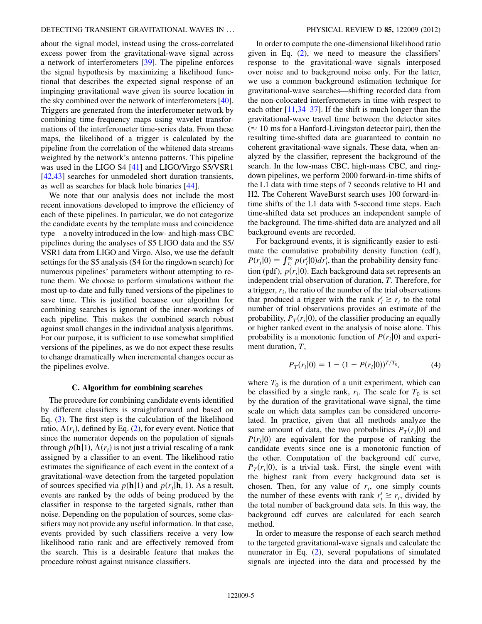about the signal model, instead using the cross-correlated excess power from the gravitational-wave signal across a network of interferometers [[39](#page-10-20)]. The pipeline enforces the signal hypothesis by maximizing a likelihood functional that describes the expected signal response of an impinging gravitational wave given its source location in the sky combined over the network of interferometers [[40\]](#page-10-21). Triggers are generated from the interferometer network by combining time-frequency maps using wavelet transformations of the interferometer time-series data. From these maps, the likelihood of a trigger is calculated by the pipeline from the correlation of the whitened data streams weighted by the network's antenna patterns. This pipeline was used in the LIGO S4 [\[41\]](#page-10-22) and LIGO/Virgo S5/VSR1 [\[42](#page-10-23)[,43\]](#page-10-24) searches for unmodeled short duration transients, as well as searches for black hole binaries [[44](#page-10-25)].

We note that our analysis does not include the most recent innovations developed to improve the efficiency of each of these pipelines. In particular, we do not categorize the candidate events by the template mass and coincidence type—a novelty introduced in the low- and high-mass CBC pipelines during the analyses of S5 LIGO data and the S5/ VSR1 data from LIGO and Virgo. Also, we use the default settings for the S5 analysis (S4 for the ringdown search) for numerous pipelines' parameters without attempting to retune them. We choose to perform simulations without the most up-to-date and fully tuned versions of the pipelines to save time. This is justified because our algorithm for combining searches is ignorant of the inner-workings of each pipeline. This makes the combined search robust against small changes in the individual analysis algorithms. For our purpose, it is sufficient to use somewhat simplified versions of the pipelines, as we do not expect these results to change dramatically when incremental changes occur as the pipelines evolve.

## C. Algorithm for combining searches

<span id="page-4-0"></span>The procedure for combining candidate events identified by different classifiers is straightforward and based on Eq. [\(3\)](#page-2-1). The first step is the calculation of the likelihood ratio,  $\Lambda(r_i)$ , defined by Eq. ([2](#page-1-2)), for every event. Notice that since the numerator depends on the population of signals through  $p(h|1)$ ,  $\Lambda(r_i)$  is not just a trivial rescaling of a rank assigned by a classifier to an event. The likelihood ratio estimates the significance of each event in the context of a gravitational-wave detection from the targeted population of sources specified via  $p(\mathbf{h}|1)$  and  $p(r_i|\mathbf{h}, 1)$ . As a result, events are ranked by the odds of being produced by the classifier in response to the targeted signals, rather than noise. Depending on the population of sources, some classifiers may not provide any useful information. In that case, events provided by such classifiers receive a very low likelihood ratio rank and are effectively removed from the search. This is a desirable feature that makes the procedure robust against nuisance classifiers.

In order to compute the one-dimensional likelihood ratio given in Eq. [\(2](#page-1-2)), we need to measure the classifiers' response to the gravitational-wave signals interposed over noise and to background noise only. For the latter, we use a common background estimation technique for gravitational-wave searches—shifting recorded data from the non-colocated interferometers in time with respect to each other  $[11,34-37]$  $[11,34-37]$  $[11,34-37]$  $[11,34-37]$ . If the shift is much longer than the gravitational-wave travel time between the detector sites  $(\approx 10 \text{ ms}$  for a Hanford-Livingston detector pair), then the resulting time-shifted data are guaranteed to contain no coherent gravitational-wave signals. These data, when analyzed by the classifier, represent the background of the search. In the low-mass CBC, high-mass CBC, and ringdown pipelines, we perform 2000 forward-in-time shifts of the L1 data with time steps of 7 seconds relative to H1 and H2. The Coherent WaveBurst search uses 100 forward-intime shifts of the L1 data with 5-second time steps. Each time-shifted data set produces an independent sample of the background. The time-shifted data are analyzed and all background events are recorded.

For background events, it is significantly easier to estimate the cumulative probability density function (cdf),  $P(r_i|0) = \int_{r_i}^{\infty} p(r'_i|0)d\dot{r}'_i$ , than the probability density func-<br>tion (ndf),  $p(n|0)$ . Each beginning data set represents on tion (pdf),  $p(r_i|0)$ . Each background data set represents an independent trial observation of duration, T. Therefore, for a trigger,  $r_i$ , the ratio of the number of the trial observations that produced a trigger with the rank  $r'_i \ge r_i$  to the total<br>number of trial observations provides an estimate of the number of trial observations provides an estimate of the probability,  $P_T(r_i|0)$ , of the classifier producing an equally or higher ranked event in the analysis of noise alone. This probability is a monotonic function of  $P(r_i|0)$  and experiment duration, T,

$$
P_T(r_i|0) = 1 - (1 - P(r_i|0))^{T/T_0}, \tag{4}
$$

where  $T_0$  is the duration of a unit experiment, which can be classified by a single rank,  $r_i$ . The scale for  $T_0$  is set by the duration of the gravitational-wave signal, the time scale on which data samples can be considered uncorrelated. In practice, given that all methods analyze the same amount of data, the two probabilities  $P_T(r_i|0)$  and  $P(r_i|0)$  are equivalent for the purpose of ranking the candidate events since one is a monotonic function of the other. Computation of the background cdf curve,  $P_T(r_i|0)$ , is a trivial task. First, the single event with the highest rank from every background data set is chosen. Then, for any value of  $r_i$ , one simply counts the number of these events with rank  $r'_i \ge r_i$ , divided by<br>the total number of background data sets. In this way, the the total number of background data sets. In this way, the background cdf curves are calculated for each search method.

In order to measure the response of each search method to the targeted gravitational-wave signals and calculate the numerator in Eq. ([2](#page-1-2)), several populations of simulated signals are injected into the data and processed by the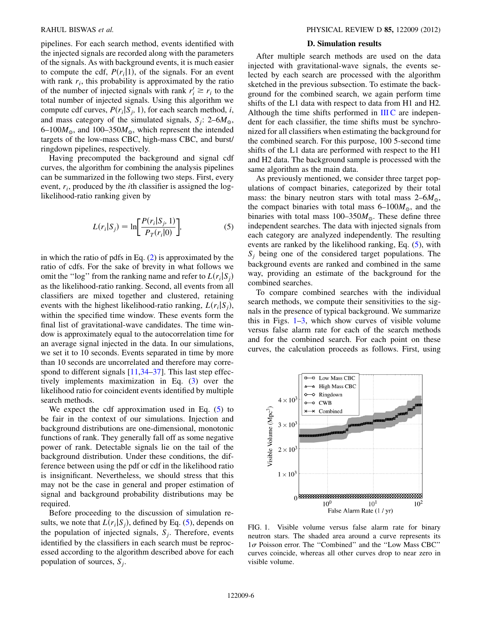pipelines. For each search method, events identified with the injected signals are recorded along with the parameters of the signals. As with background events, it is much easier to compute the cdf,  $P(r_i|1)$ , of the signals. For an event with rank  $r_i$ , this probability is approximated by the ratio of the number of injected signals with rank  $r_i' \ge r_i$  to the total number of injected signals. Using this algorithm we total number of injected signals. Using this algorithm we compute cdf curves,  $P(r_i|S_i, 1)$ , for each search method, *i*, and mass category of the simulated signals,  $S_i$ : 2–6 $M_{\odot}$ ,  $6-100M_{\odot}$ , and  $100-350M_{\odot}$ , which represent the intended targets of the low-mass CBC, high-mass CBC, and burst/ ringdown pipelines, respectively.

<span id="page-5-0"></span>Having precomputed the background and signal cdf curves, the algorithm for combining the analysis pipelines can be summarized in the following two steps. First, every event,  $r_i$ , produced by the *i*th classifier is assigned the loglikelihood-ratio ranking given by

$$
L(r_i|S_j) = \ln \left[ \frac{P(r_i|S_j, 1)}{P_T(r_i|0)} \right],
$$
 (5)

in which the ratio of pdfs in Eq.  $(2)$  is approximated by the ratio of cdfs. For the sake of brevity in what follows we omit the "log" from the ranking name and refer to  $L(r_i|S_i)$ as the likelihood-ratio ranking. Second, all events from all classifiers are mixed together and clustered, retaining events with the highest likelihood-ratio ranking,  $L(r_i|S_i)$ , within the specified time window. These events form the final list of gravitational-wave candidates. The time window is approximately equal to the autocorrelation time for an average signal injected in the data. In our simulations, we set it to 10 seconds. Events separated in time by more than 10 seconds are uncorrelated and therefore may corre-spond to different signals [\[11,](#page-10-8)[34](#page-10-17)[–37\]](#page-10-18). This last step effectively implements maximization in Eq. [\(3](#page-2-1)) over the likelihood ratio for coincident events identified by multiple search methods.

We expect the cdf approximation used in Eq. [\(5](#page-5-0)) to be fair in the context of our simulations. Injection and background distributions are one-dimensional, monotonic functions of rank. They generally fall off as some negative power of rank. Detectable signals lie on the tail of the background distribution. Under these conditions, the difference between using the pdf or cdf in the likelihood ratio is insignificant. Nevertheless, we should stress that this may not be the case in general and proper estimation of signal and background probability distributions may be required.

Before proceeding to the discussion of simulation results, we note that  $L(r_i|S_i)$ , defined by Eq. ([5](#page-5-0)), depends on the population of injected signals,  $S_j$ . Therefore, events identified by the classifiers in each search must be reprocessed according to the algorithm described above for each population of sources,  $S_i$ .

#### D. Simulation results

After multiple search methods are used on the data injected with gravitational-wave signals, the events selected by each search are processed with the algorithm sketched in the previous subsection. To estimate the background for the combined search, we again perform time shifts of the L1 data with respect to data from H1 and H2. Although the time shifts performed in  $IIIC$  are independent for each classifier, the time shifts must be synchronized for all classifiers when estimating the background for the combined search. For this purpose, 100 5-second time shifts of the L1 data are performed with respect to the H1 and H2 data. The background sample is processed with the same algorithm as the main data.

As previously mentioned, we consider three target populations of compact binaries, categorized by their total mass: the binary neutron stars with total mass  $2-6M_{\odot}$ , the compact binaries with total mass  $6{\text -}100M_{\odot}$ , and the binaries with total mass  $100-350M_{\odot}$ . These define three independent searches. The data with injected signals from each category are analyzed independently. The resulting events are ranked by the likelihood ranking, Eq. ([5](#page-5-0)), with  $S_i$  being one of the considered target populations. The background events are ranked and combined in the same way, providing an estimate of the background for the combined searches.

To compare combined searches with the individual search methods, we compute their sensitivities to the signals in the presence of typical background. We summarize this in Figs.  $1-3$  $1-3$ , which show curves of visible volume versus false alarm rate for each of the search methods and for the combined search. For each point on these curves, the calculation proceeds as follows. First, using

<span id="page-5-1"></span>

FIG. 1. Visible volume versus false alarm rate for binary neutron stars. The shaded area around a curve represents its  $1\sigma$  Poisson error. The "Combined" and the "Low Mass CBC" curves coincide, whereas all other curves drop to near zero in visible volume.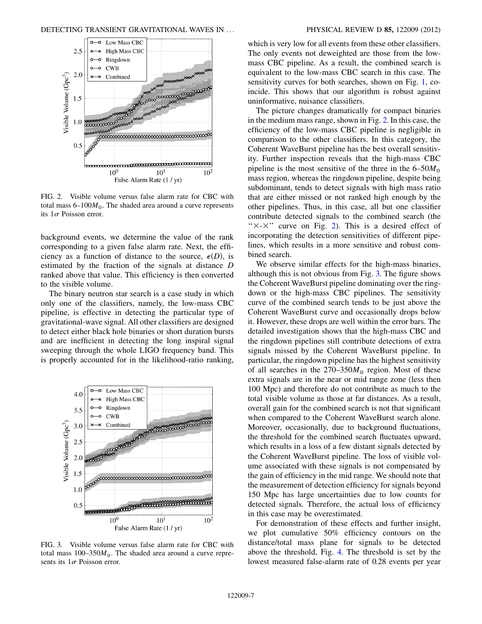<span id="page-6-1"></span>

FIG. 2. Visible volume versus false alarm rate for CBC with total mass  $6{\text -}100M_{\odot}$ . The shaded area around a curve represents its  $1\sigma$  Poisson error.

background events, we determine the value of the rank corresponding to a given false alarm rate. Next, the efficiency as a function of distance to the source,  $\epsilon(D)$ , is<br>estimated by the fraction of the signals at distance D estimated by the fraction of the signals at distance D ranked above that value. This efficiency is then converted to the visible volume.

The binary neutron star search is a case study in which only one of the classifiers, namely, the low-mass CBC pipeline, is effective in detecting the particular type of gravitational-wave signal. All other classifiers are designed to detect either black hole binaries or short duration bursts and are inefficient in detecting the long inspiral signal sweeping through the whole LIGO frequency band. This is properly accounted for in the likelihood-ratio ranking,

<span id="page-6-0"></span>

FIG. 3. Visible volume versus false alarm rate for CBC with total mass  $100-350M_{\odot}$ . The shaded area around a curve represents its  $1\sigma$  Poisson error.

which is very low for all events from these other classifiers. The only events not deweighted are those from the lowmass CBC pipeline. As a result, the combined search is equivalent to the low-mass CBC search in this case. The sensitivity curves for both searches, shown on Fig. [1,](#page-5-1) coincide. This shows that our algorithm is robust against uninformative, nuisance classifiers.

The picture changes dramatically for compact binaries in the medium mass range, shown in Fig. [2.](#page-6-1) In this case, the efficiency of the low-mass CBC pipeline is negligible in comparison to the other classifiers. In this category, the Coherent WaveBurst pipeline has the best overall sensitivity. Further inspection reveals that the high-mass CBC pipeline is the most sensitive of the three in the  $6-50M_{\odot}$ mass region, whereas the ringdown pipeline, despite being subdominant, tends to detect signals with high mass ratio that are either missed or not ranked high enough by the other pipelines. Thus, in this case, all but one classifier contribute detected signals to the combined search (the " $\times$ - $\times$ " curve on Fig. [2\)](#page-6-1). This is a desired effect of incorporating the detection sensitivities of different pipelines, which results in a more sensitive and robust combined search.

We observe similar effects for the high-mass binaries, although this is not obvious from Fig. [3.](#page-6-0) The figure shows the Coherent WaveBurst pipeline dominating over the ringdown or the high-mass CBC pipelines. The sensitivity curve of the combined search tends to be just above the Coherent WaveBurst curve and occasionally drops below it. However, these drops are well within the error bars. The detailed investigation shows that the high-mass CBC and the ringdown pipelines still contribute detections of extra signals missed by the Coherent WaveBurst pipeline. In particular, the ringdown pipeline has the highest sensitivity of all searches in the  $270-350M<sub>o</sub>$  region. Most of these extra signals are in the near or mid range zone (less then 100 Mpc) and therefore do not contribute as much to the total visible volume as those at far distances. As a result, overall gain for the combined search is not that significant when compared to the Coherent WaveBurst search alone. Moreover, occasionally, due to background fluctuations, the threshold for the combined search fluctuates upward, which results in a loss of a few distant signals detected by the Coherent WaveBurst pipeline. The loss of visible volume associated with these signals is not compensated by the gain of efficiency in the mid range. We should note that the measurement of detection efficiency for signals beyond 150 Mpc has large uncertainties due to low counts for detected signals. Therefore, the actual loss of efficiency in this case may be overestimated.

For demonstration of these effects and further insight, we plot cumulative 50% efficiency contours on the distance/total mass plane for signals to be detected above the threshold, Fig. [4.](#page-7-0) The threshold is set by the lowest measured false-alarm rate of 0.28 events per year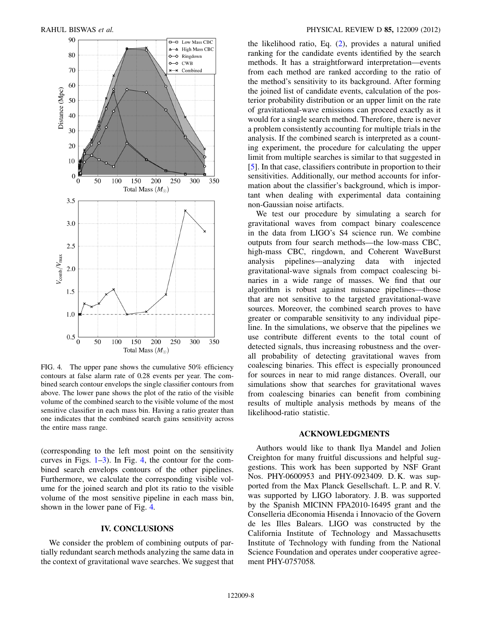<span id="page-7-0"></span>

FIG. 4. The upper pane shows the cumulative 50% efficiency contours at false alarm rate of 0.28 events per year. The combined search contour envelops the single classifier contours from above. The lower pane shows the plot of the ratio of the visible volume of the combined search to the visible volume of the most sensitive classifier in each mass bin. Having a ratio greater than one indicates that the combined search gains sensitivity across the entire mass range.

(corresponding to the left most point on the sensitivity curves in Figs.  $1-3$  $1-3$ ). In Fig. [4,](#page-7-0) the contour for the combined search envelops contours of the other pipelines. Furthermore, we calculate the corresponding visible volume for the joined search and plot its ratio to the visible volume of the most sensitive pipeline in each mass bin, shown in the lower pane of Fig. [4.](#page-7-0)

### IV. CONCLUSIONS

We consider the problem of combining outputs of partially redundant search methods analyzing the same data in the context of gravitational wave searches. We suggest that the likelihood ratio, Eq. ([2](#page-1-2)), provides a natural unified ranking for the candidate events identified by the search methods. It has a straightforward interpretation—events from each method are ranked according to the ratio of the method's sensitivity to its background. After forming the joined list of candidate events, calculation of the posterior probability distribution or an upper limit on the rate of gravitational-wave emissions can proceed exactly as it would for a single search method. Therefore, there is never a problem consistently accounting for multiple trials in the analysis. If the combined search is interpreted as a counting experiment, the procedure for calculating the upper limit from multiple searches is similar to that suggested in [\[5\]](#page-10-4). In that case, classifiers contribute in proportion to their sensitivities. Additionally, our method accounts for information about the classifier's background, which is important when dealing with experimental data containing non-Gaussian noise artifacts.

We test our procedure by simulating a search for gravitational waves from compact binary coalescence in the data from LIGO's S4 science run. We combine outputs from four search methods—the low-mass CBC, high-mass CBC, ringdown, and Coherent WaveBurst analysis pipelines—analyzing data with injected gravitational-wave signals from compact coalescing binaries in a wide range of masses. We find that our algorithm is robust against nuisance pipelines—those that are not sensitive to the targeted gravitational-wave sources. Moreover, the combined search proves to have greater or comparable sensitivity to any individual pipeline. In the simulations, we observe that the pipelines we use contribute different events to the total count of detected signals, thus increasing robustness and the overall probability of detecting gravitational waves from coalescing binaries. This effect is especially pronounced for sources in near to mid range distances. Overall, our simulations show that searches for gravitational waves from coalescing binaries can benefit from combining results of multiple analysis methods by means of the likelihood-ratio statistic.

#### ACKNOWLEDGMENTS

Authors would like to thank Ilya Mandel and Jolien Creighton for many fruitful discussions and helpful suggestions. This work has been supported by NSF Grant Nos. PHY-0600953 and PHY-0923409. D. K. was supported from the Max Planck Gesellschaft. L. P. and R. V. was supported by LIGO laboratory. J. B. was supported by the Spanish MICINN FPA2010-16495 grant and the Conselleria dEconomia Hisenda i Innovacio of the Govern de les Illes Balears. LIGO was constructed by the California Institute of Technology and Massachusetts Institute of Technology with funding from the National Science Foundation and operates under cooperative agreement PHY-0757058.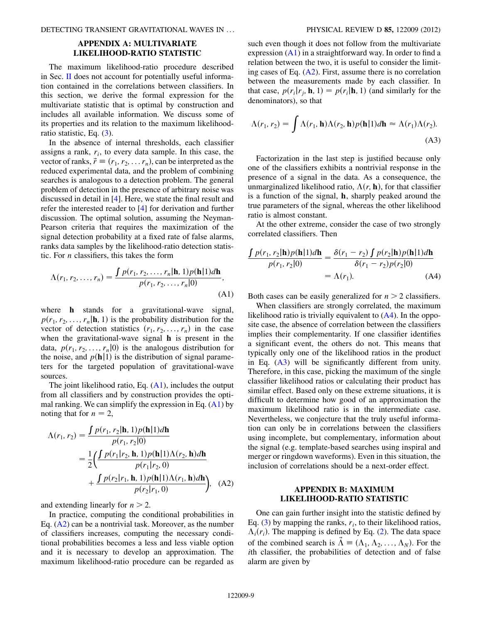DETECTING TRANSIENT GRAVITATIONAL WAVES IN ... PHYSICAL REVIEW D 85, 122009 (2012)

## APPENDIX A: MULTIVARIATE LIKELIHOOD-RATIO STATISTIC

<span id="page-8-0"></span>The maximum likelihood-ratio procedure described in Sec. [II](#page-1-0) does not account for potentially useful information contained in the correlations between classifiers. In this section, we derive the formal expression for the multivariate statistic that is optimal by construction and includes all available information. We discuss some of its properties and its relation to the maximum likelihoodratio statistic, Eq. ([3](#page-2-1)).

In the absence of internal thresholds, each classifier assigns a rank,  $r_i$ , to every data sample. In this case, the vector of ranks,  $\vec{r} \equiv (r_1, r_2, \dots, r_n)$ , can be interpreted as the reduced experimental data and the problem of combining reduced experimental data, and the problem of combining searches is analogous to a detection problem. The general problem of detection in the presence of arbitrary noise was discussed in detail in [[4\]](#page-10-3). Here, we state the final result and refer the interested reader to [\[4\]](#page-10-3) for derivation and further discussion. The optimal solution, assuming the Neyman-Pearson criteria that requires the maximization of the signal detection probability at a fixed rate of false alarms, ranks data samples by the likelihood-ratio detection statistic. For  $n$  classifiers, this takes the form

<span id="page-8-2"></span>
$$
\Lambda(r_1, r_2, \dots, r_n) = \frac{\int p(r_1, r_2, \dots, r_n | \mathbf{h}, 1) p(\mathbf{h} | 1) d\mathbf{h}}{p(r_1, r_2, \dots, r_n | 0)},
$$
\n(A1)

where **h** stands for a gravitational-wave signal,  $p(r_1, r_2, \ldots, r_n | \mathbf{h}, 1)$  is the probability distribution for the vector of detection statistics  $(r_1, r_2, \ldots, r_n)$  in the case when the gravitational-wave signal **h** is present in the data,  $p(r_1, r_2, \ldots, r_n|0)$  is the analogous distribution for the noise, and  $p(h|1)$  is the distribution of signal parameters for the targeted population of gravitational-wave sources.

The joint likelihood ratio, Eq.  $(A1)$  $(A1)$ , includes the output from all classifiers and by construction provides the optimal ranking. We can simplify the expression in Eq.  $(A1)$  by noting that for  $n = 2$ ,

<span id="page-8-3"></span>
$$
\Lambda(r_1, r_2) = \frac{\int p(r_1, r_2 | \mathbf{h}, 1) p(\mathbf{h} | 1) d\mathbf{h}}{p(r_1, r_2 | 0)}
$$
  
= 
$$
\frac{1}{2} \Biggl( \frac{\int p(r_1 | r_2, \mathbf{h}, 1) p(\mathbf{h} | 1) \Lambda(r_2, \mathbf{h}) d\mathbf{h}}{p(r_1 | r_2, 0)} + \frac{\int p(r_2 | r_1, \mathbf{h}, 1) p(\mathbf{h} | 1) \Lambda(r_1, \mathbf{h}) d\mathbf{h}}{p(r_2 | r_1, 0)} \Biggr), \quad (A2)
$$

and extending linearly for  $n > 2$ .

In practice, computing the conditional probabilities in Eq.  $(A2)$  can be a nontrivial task. Moreover, as the number of classifiers increases, computing the necessary conditional probabilities becomes a less and less viable option and it is necessary to develop an approximation. The maximum likelihood-ratio procedure can be regarded as such even though it does not follow from the multivariate expression  $(A1)$  $(A1)$  in a straightforward way. In order to find a relation between the two, it is useful to consider the limiting cases of Eq. [\(A2\)](#page-8-3). First, assume there is no correlation between the measurements made by each classifier. In that case,  $p(r_i|r_i, \mathbf{h}, 1) = p(r_i|\mathbf{h}, 1)$  (and similarly for the denominators), so that

<span id="page-8-5"></span>
$$
\Lambda(r_1, r_2) = \int \Lambda(r_1, \mathbf{h}) \Lambda(r_2, \mathbf{h}) p(\mathbf{h}|1) d\mathbf{h} \approx \Lambda(r_1) \Lambda(r_2).
$$
\n(A3)

Factorization in the last step is justified because only one of the classifiers exhibits a nontrivial response in the presence of a signal in the data. As a consequence, the unmarginalized likelihood ratio,  $\Lambda(r, \mathbf{h})$ , for that classifier is a function of the signal, h, sharply peaked around the true parameters of the signal, whereas the other likelihood ratio is almost constant.

<span id="page-8-4"></span>At the other extreme, consider the case of two strongly correlated classifiers. Then

$$
\frac{\int p(r_1, r_2 | \mathbf{h}) p(\mathbf{h} | 1) d\mathbf{h}}{p(r_1, r_2 | 0)} = \frac{\delta(r_1 - r_2) \int p(r_2 | \mathbf{h}) p(\mathbf{h} | 1) d\mathbf{h}}{\delta(r_1 - r_2) p(r_2 | 0)}
$$

$$
= \Lambda(r_1).
$$
 (A4)

Both cases can be easily generalized for  $n > 2$  classifiers.

When classifiers are strongly correlated, the maximum likelihood ratio is trivially equivalent to  $(A4)$  $(A4)$ . In the opposite case, the absence of correlation between the classifiers implies their complementarity. If one classifier identifies a significant event, the others do not. This means that typically only one of the likelihood ratios in the product in Eq. [\(A3\)](#page-8-5) will be significantly different from unity. Therefore, in this case, picking the maximum of the single classifier likelihood ratios or calculating their product has similar effect. Based only on these extreme situations, it is difficult to determine how good of an approximation the maximum likelihood ratio is in the intermediate case. Nevertheless, we conjecture that the truly useful information can only be in correlations between the classifiers using incomplete, but complementary, information about the signal (e.g. template-based searches using inspiral and merger or ringdown waveforms). Even in this situation, the inclusion of correlations should be a next-order effect.

## <span id="page-8-1"></span>APPENDIX B: MAXIMUM LIKELIHOOD-RATIO STATISTIC

One can gain further insight into the statistic defined by Eq. [\(3\)](#page-2-1) by mapping the ranks,  $r_i$ , to their likelihood ratios,  $\Lambda_i(r_i)$ . The mapping is defined by Eq. ([2\)](#page-1-2). The data space of the combined search is  $\vec{\Lambda} \equiv (\Lambda_1, \Lambda_2, ..., \Lambda_N)$ . For the *i*th classifier the probabilities of detection and of false ith classifier, the probabilities of detection and of false alarm are given by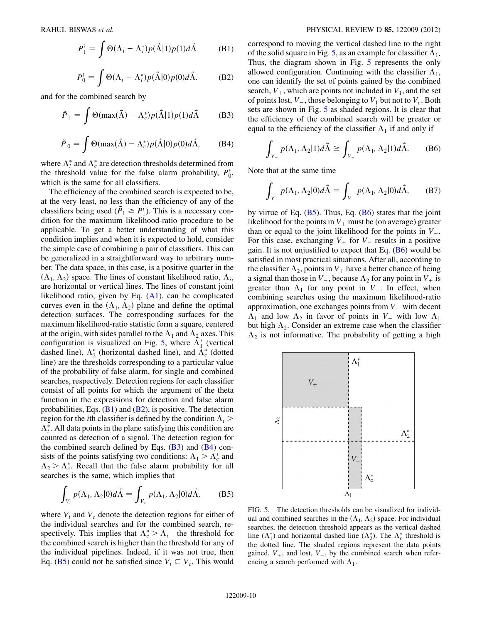<span id="page-9-2"></span>
$$
P_1^i = \int \Theta(\Lambda_i - \Lambda_i^*) p(\vec{\Lambda}|1) p(1) d\vec{\Lambda}
$$
 (B1)

$$
P_0^i = \int \Theta(\Lambda_i - \Lambda_i^*) p(\vec{\Lambda}|0) p(0) d\vec{\Lambda}.
$$
 (B2)

<span id="page-9-4"></span><span id="page-9-1"></span>and for the combined search by

$$
\tilde{P}_1 = \int \Theta(\max(\vec{\Lambda}) - \Lambda_c^*) p(\vec{\Lambda}|1) p(1) d\vec{\Lambda}
$$
 (B3)

$$
\tilde{P}_0 = \int \Theta(\max(\vec{\Lambda}) - \Lambda_c^*) p(\vec{\Lambda}|0) p(0) d\vec{\Lambda}, \quad (B4)
$$

<span id="page-9-3"></span>where  $\Lambda_i^*$  and  $\Lambda_c^*$  are detection thresholds determined from the threshold value for the false alarm probability,  $P_0^*$ , which is the same for all classifiers.

The efficiency of the combined search is expected to be, at the very least, no less than the efficiency of any of the classifiers being used  $(\tilde{P}_1 \ge P_1^i)$ . This is a necessary con-<br>dition for the maximum likelihood-ratio procedure to be dition for the maximum likelihood-ratio procedure to be applicable. To get a better understanding of what this condition implies and when it is expected to hold, consider the simple case of combining a pair of classifiers. This can be generalized in a straightforward way to arbitrary number. The data space, in this case, is a positive quarter in the  $(\Lambda_1, \Lambda_2)$  space. The lines of constant likelihood ratio,  $\Lambda_i$ , are horizontal or vertical lines. The lines of constant joint likelihood ratio, given by Eq.  $(A1)$  $(A1)$ , can be complicated curves even in the  $(\Lambda_1, \Lambda_2)$  plane and define the optimal detection surfaces. The corresponding surfaces for the maximum likelihood-ratio statistic form a square, centered at the origin, with sides parallel to the  $\Lambda_1$  and  $\Lambda_2$  axes. This configuration is visualized on Fig. [5,](#page-9-0) where  $\Lambda_1^*$  (vertical dashed line),  $\Lambda_2^*$  (horizontal dashed line), and  $\Lambda_c^*$  (dotted line) are the thresholds corresponding to a particular value of the probability of false alarm, for single and combined searches, respectively. Detection regions for each classifier consist of all points for which the argument of the theta function in the expressions for detection and false alarm probabilities, Eqs.  $(B1)$  and  $(B2)$  $(B2)$ , is positive. The detection region for the *i*th classifier is defined by the condition  $\Lambda_i$  >  $\Lambda_i^*$ . All data points in the plane satisfying this condition are counted as detection of a signal. The detection region for the combined search defined by Eqs.  $(B3)$  $(B3)$  and  $(B4)$  $(B4)$  consists of the points satisfying two conditions:  $\Lambda_1 > \Lambda_c^*$  and  $\Lambda_2 > \Lambda_c^*$ . Recall that the false alarm probability for all searches is the same, which implies that

<span id="page-9-5"></span>
$$
\int_{V_i} p(\Lambda_1, \Lambda_2 | 0) d\vec{\Lambda} = \int_{V_c} p(\Lambda_1, \Lambda_2 | 0) d\vec{\Lambda},
$$
 (B5)

where  $V_i$  and  $V_c$  denote the detection regions for either of the individual searches and for the combined search, respectively. This implies that  $\Lambda_c^* > \Lambda_i$ —the threshold for the combined search is higher than the threshold for any of the individual pipelines. Indeed, if it was not true, then Eq. ([B5\)](#page-9-5) could not be satisfied since  $V_i \subset V_c$ . This would correspond to moving the vertical dashed line to the right of the solid square in Fig. [5,](#page-9-0) as an example for classifier  $\Lambda_1$ . Thus, the diagram shown in Fig. [5](#page-9-0) represents the only allowed configuration. Continuing with the classifier  $\Lambda_1$ , one can identify the set of points gained by the combined search,  $V_+$ , which are points not included in  $V_1$ , and the set of points lost,  $V_-,$  those belonging to  $V_1$  but not to  $V_c$ . Both sets are shown in Fig. [5](#page-9-0) as shaded regions. It is clear that the efficiency of the combined search will be greater or equal to the efficiency of the classifier  $\Lambda_1$  if and only if

<span id="page-9-6"></span>
$$
\int_{V_+} p(\Lambda_1, \Lambda_2 | 1) d\vec{\Lambda} \ge \int_{V_-} p(\Lambda_1, \Lambda_2 | 1) d\vec{\Lambda}.
$$
 (B6)

Note that at the same time

$$
\int_{V_+} p(\Lambda_1, \Lambda_2 | 0) d\vec{\Lambda} = \int_{V_-} p(\Lambda_1, \Lambda_2 | 0) d\vec{\Lambda}, \quad (B7)
$$

by virtue of Eq.  $(B5)$  $(B5)$  $(B5)$ . Thus, Eq.  $(B6)$  $(B6)$  states that the joint likelihood for the points in  $V_+$  must be (on average) greater than or equal to the joint likelihood for the points in  $V_{-}$ . For this case, exchanging  $V_+$  for  $V_-$  results in a positive gain. It is not unjustified to expect that Eq. [\(B6\)](#page-9-6) would be satisfied in most practical situations. After all, according to the classifier  $\Lambda_2$ , points in  $V_+$  have a better chance of being a signal than those in  $V_$ , because  $\Lambda_2$  for any point in  $V_+$  is greater than  $\Lambda_1$  for any point in  $V_{-}$ . In effect, when combining searches using the maximum likelihood-ratio approximation, one exchanges points from  $V_$  with decent  $\Lambda_1$  and low  $\Lambda_2$  in favor of points in  $V_+$  with low  $\Lambda_1$ but high  $\Lambda_2$ . Consider an extreme case when the classifier  $\Lambda_2$  is not informative. The probability of getting a high

<span id="page-9-0"></span>

FIG. 5. The detection thresholds can be visualized for individual and combined searches in the  $(\Lambda_1, \Lambda_2)$  space. For individual searches, the detection threshold appears as the vertical dashed line ( $\Lambda_1^*$ ) and horizontal dashed line ( $\Lambda_2^*$ ). The  $\Lambda_c^*$  threshold is the dotted line. The shaded regions represent the data points gained,  $V_+$ , and lost,  $V_-$ , by the combined search when referencing a search performed with  $\Lambda_1$ .